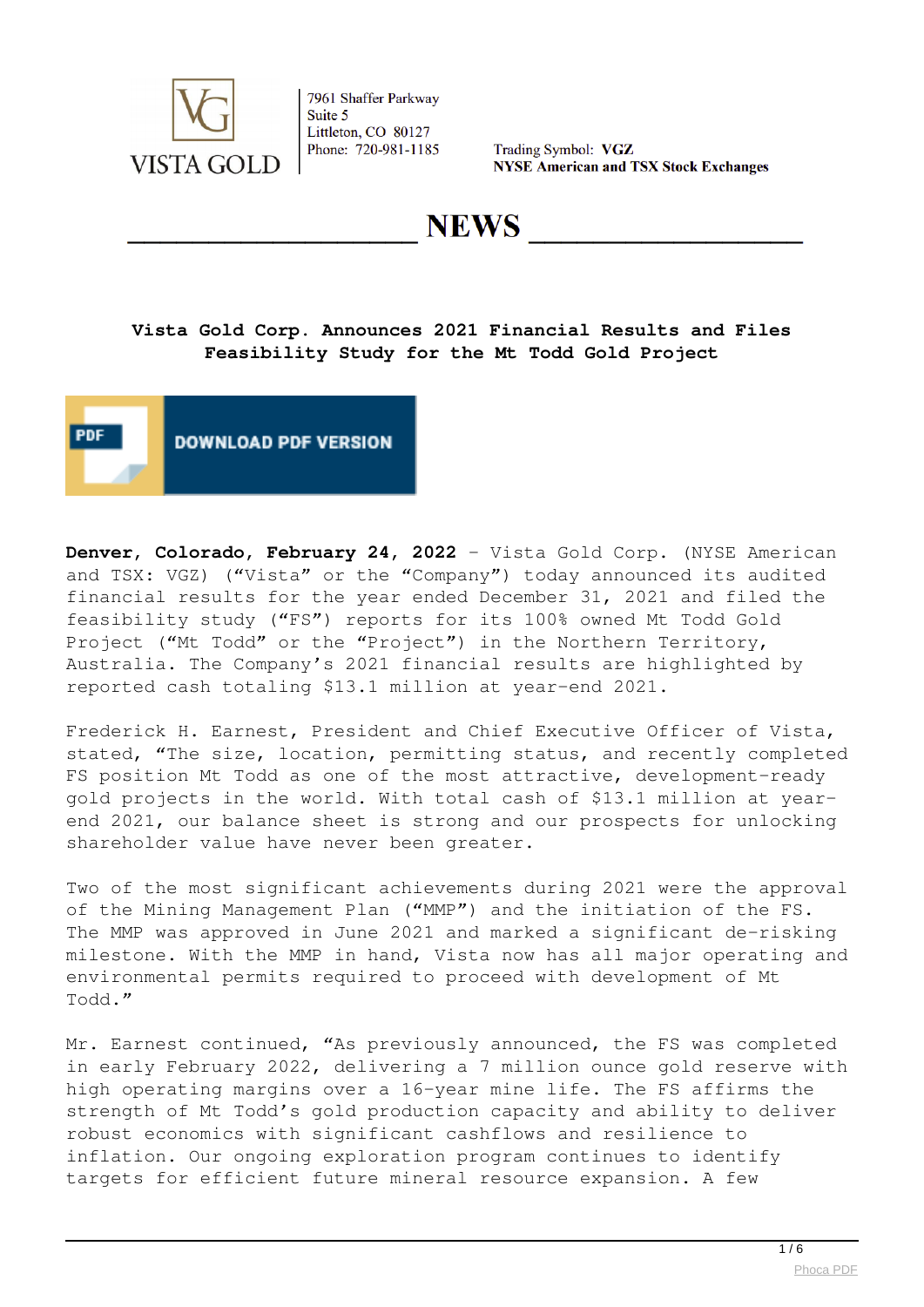

Trading Symbol: VGZ **NYSE American and TSX Stock Exchanges** 

**NEWS** 

# **Vista Gold Corp. Announces 2021 Financial Results and Files Feasibility Study for the Mt Todd Gold Project**



**Denver, Colorado, February 24, 2022** – Vista Gold Corp. (NYSE American and TSX: VGZ) ("Vista" or the "Company") today announced its audited financial results for the year ended December 31, 2021 and filed the feasibility study ("FS") reports for its 100% owned Mt Todd Gold Project ("Mt Todd" or the "Project") in the Northern Territory, Australia. The Company's 2021 financial results are highlighted by reported cash totaling \$13.1 million at year-end 2021.

Frederick H. Earnest, President and Chief Executive Officer of Vista, stated, "The size, location, permitting status, and recently completed FS position Mt Todd as one of the most attractive, development-ready gold projects in the world. With total cash of \$13.1 million at yearend 2021, our balance sheet is strong and our prospects for unlocking shareholder value have never been greater.

Two of the most significant achievements during 2021 were the approval of the Mining Management Plan ("MMP") and the initiation of the FS. The MMP was approved in June 2021 and marked a significant de-risking milestone. With the MMP in hand, Vista now has all major operating and environmental permits required to proceed with development of Mt Todd."

Mr. Earnest continued, "As previously announced, the FS was completed in early February 2022, delivering a 7 million ounce gold reserve with high operating margins over a 16-year mine life. The FS affirms the strength of Mt Todd's gold production capacity and ability to deliver robust economics with significant cashflows and resilience to inflation. Our ongoing exploration program continues to identify targets for efficient future mineral resource expansion. A few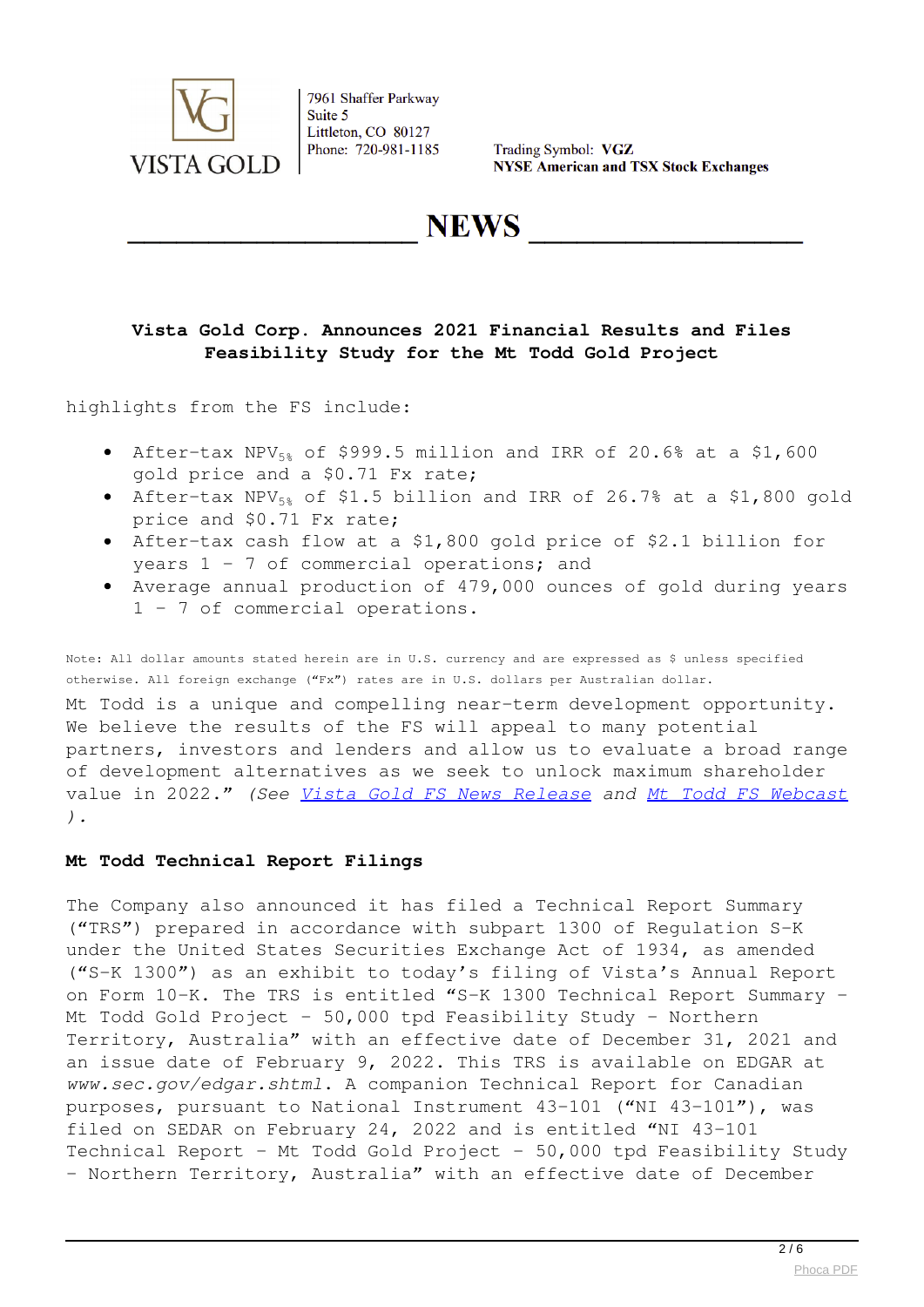

Trading Symbol: VGZ **NYSE American and TSX Stock Exchanges** 

**NEWS** 

# **Vista Gold Corp. Announces 2021 Financial Results and Files Feasibility Study for the Mt Todd Gold Project**

highlights from the FS include:

- After-tax NPV $_{58}$  of \$999.5 million and IRR of 20.6% at a \$1,600 gold price and a \$0.71 Fx rate;
- After-tax NPV $_{58}$  of \$1.5 billion and IRR of 26.7% at a \$1,800 gold price and \$0.71 Fx rate;
- After-tax cash flow at a \$1,800 gold price of \$2.1 billion for years 1 – 7 of commercial operations; and
- Average annual production of 479,000 ounces of gold during years 1 – 7 of commercial operations.

Note: All dollar amounts stated herein are in U.S. currency and are expressed as \$ unless specified otherwise. All foreign exchange ("Fx") rates are in U.S. dollars per Australian dollar.

Mt Todd is a unique and compelling near-term development opportunity. We believe the results of the FS will appeal to many potential partners, investors and lenders and allow us to evaluate a broad range of development alternatives as we seek to unlock maximum shareholder value in 2022." *(See [Vista Gold FS News Release](https://www.vistagold.com/news/news-2022/739-vista-gold-announces-feasibility-study-delivering-7-million-ounce-gold-reserve-underpinning-large-scale-production-at-high-operating-margins-over-a-16-year-mine-life) and [Mt Todd FS Webcast](https://workdrive.zohoexternal.com/external/f1ec5d260fb22a5689c276078aa71d37f37701b997505f8e04a844892afbe5f8) ).*

### **Mt Todd Technical Report Filings**

The Company also announced it has filed a Technical Report Summary ("TRS") prepared in accordance with subpart 1300 of Regulation S-K under the United States Securities Exchange Act of 1934, as amended ("S-K 1300") as an exhibit to today's filing of Vista's Annual Report on Form 10-K. The TRS is entitled "S-K 1300 Technical Report Summary – Mt Todd Gold Project – 50,000 tpd Feasibility Study – Northern Territory, Australia" with an effective date of December 31, 2021 and an issue date of February 9, 2022. This TRS is available on EDGAR at *www.sec.gov/edgar.shtml*. A companion Technical Report for Canadian purposes, pursuant to National Instrument 43-101 ("NI 43-101"), was filed on SEDAR on February 24, 2022 and is entitled "NI 43-101 Technical Report - Mt Todd Gold Project - 50,000 tpd Feasibility Study – Northern Territory, Australia" with an effective date of December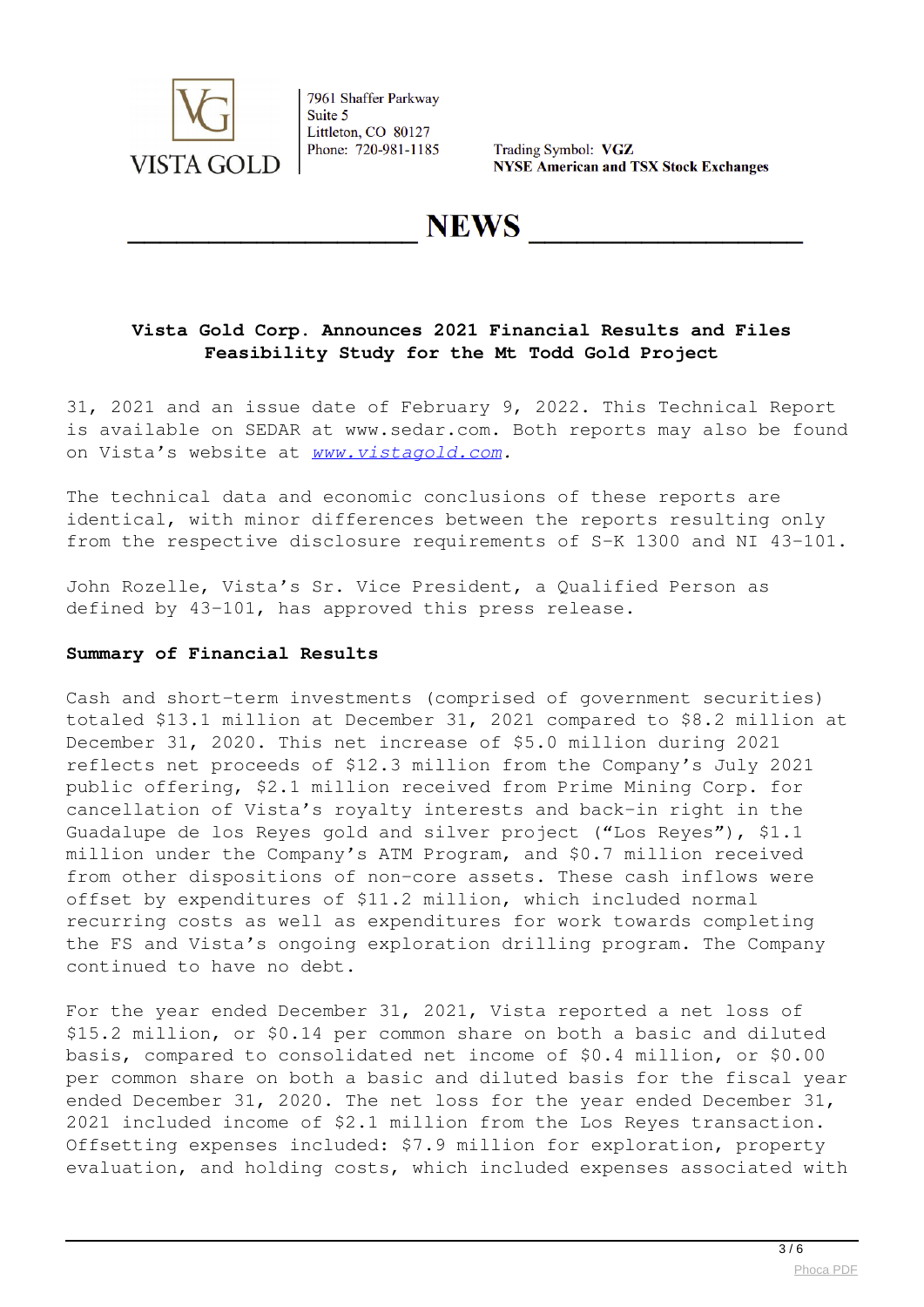

Trading Symbol: VGZ **NYSE American and TSX Stock Exchanges** 

**NEWS** 

# **Vista Gold Corp. Announces 2021 Financial Results and Files Feasibility Study for the Mt Todd Gold Project**

31, 2021 and an issue date of February 9, 2022. This Technical Report is available on SEDAR at www.sedar.com. Both reports may also be found on Vista's website at *[www.vistagold.com](http://www.vistagold.com).*

The technical data and economic conclusions of these reports are identical, with minor differences between the reports resulting only from the respective disclosure requirements of S-K 1300 and NI 43-101.

John Rozelle, Vista's Sr. Vice President, a Qualified Person as defined by 43-101, has approved this press release.

#### **Summary of Financial Results**

Cash and short-term investments (comprised of government securities) totaled \$13.1 million at December 31, 2021 compared to \$8.2 million at December 31, 2020. This net increase of \$5.0 million during 2021 reflects net proceeds of \$12.3 million from the Company's July 2021 public offering, \$2.1 million received from Prime Mining Corp. for cancellation of Vista's royalty interests and back-in right in the Guadalupe de los Reyes gold and silver project ("Los Reyes"), \$1.1 million under the Company's ATM Program, and \$0.7 million received from other dispositions of non-core assets. These cash inflows were offset by expenditures of \$11.2 million, which included normal recurring costs as well as expenditures for work towards completing the FS and Vista's ongoing exploration drilling program. The Company continued to have no debt.

For the year ended December 31, 2021, Vista reported a net loss of \$15.2 million, or \$0.14 per common share on both a basic and diluted basis, compared to consolidated net income of \$0.4 million, or \$0.00 per common share on both a basic and diluted basis for the fiscal year ended December 31, 2020. The net loss for the year ended December 31, 2021 included income of \$2.1 million from the Los Reyes transaction. Offsetting expenses included: \$7.9 million for exploration, property evaluation, and holding costs, which included expenses associated with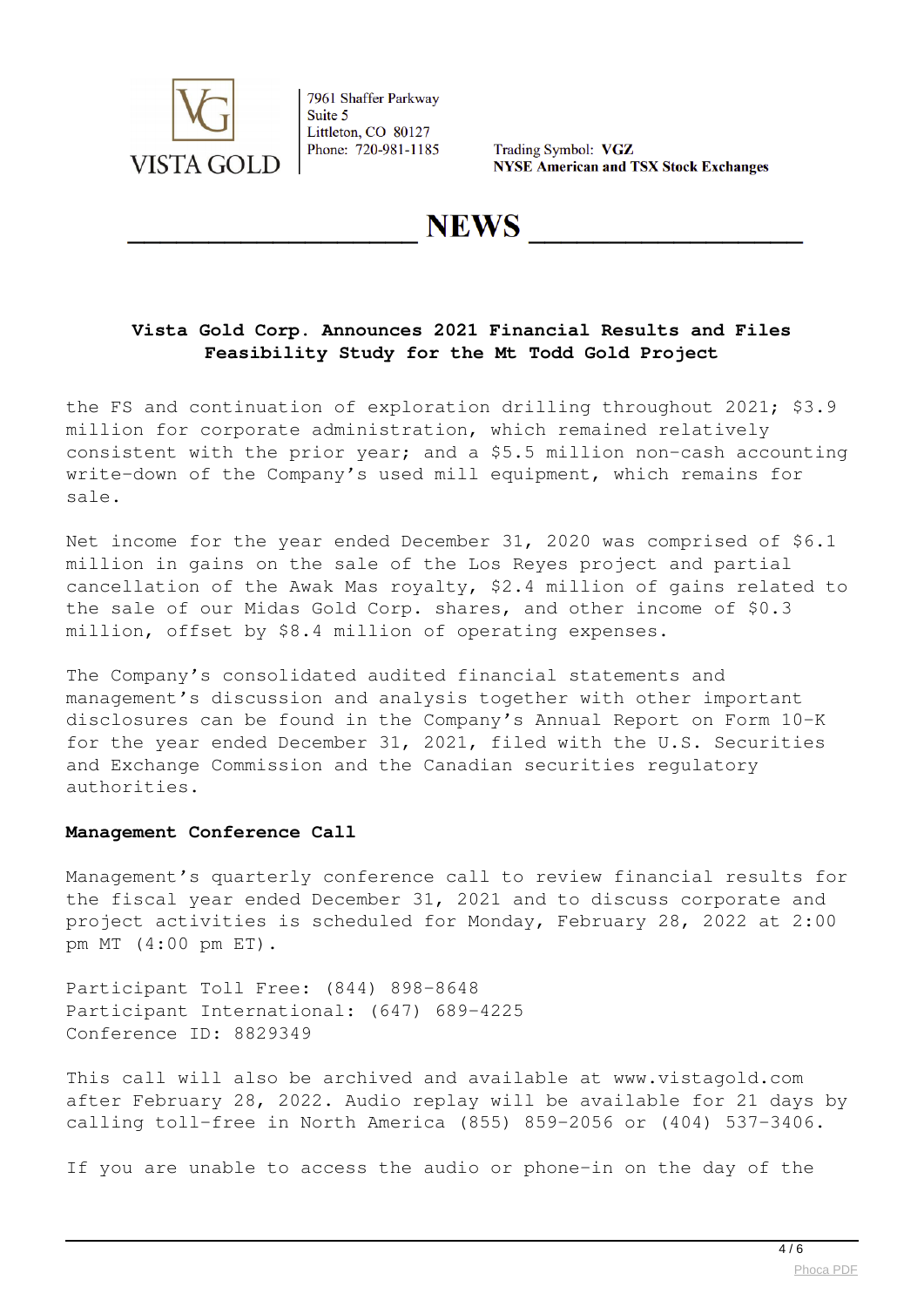

Trading Symbol: VGZ **NYSE American and TSX Stock Exchanges** 

**NEWS** 

### **Vista Gold Corp. Announces 2021 Financial Results and Files Feasibility Study for the Mt Todd Gold Project**

the FS and continuation of exploration drilling throughout 2021; \$3.9 million for corporate administration, which remained relatively consistent with the prior year; and a \$5.5 million non-cash accounting write-down of the Company's used mill equipment, which remains for sale.

Net income for the year ended December 31, 2020 was comprised of \$6.1 million in gains on the sale of the Los Reyes project and partial cancellation of the Awak Mas royalty, \$2.4 million of gains related to the sale of our Midas Gold Corp. shares, and other income of \$0.3 million, offset by \$8.4 million of operating expenses.

The Company's consolidated audited financial statements and management's discussion and analysis together with other important disclosures can be found in the Company's Annual Report on Form 10-K for the year ended December 31, 2021, filed with the U.S. Securities and Exchange Commission and the Canadian securities regulatory authorities.

### **Management Conference Call**

Management's quarterly conference call to review financial results for the fiscal year ended December 31, 2021 and to discuss corporate and project activities is scheduled for Monday, February 28, 2022 at 2:00 pm MT (4:00 pm ET).

Participant Toll Free: (844) 898-8648 Participant International: (647) 689-4225 Conference ID: 8829349

This call will also be archived and available at www.vistagold.com after February 28, 2022. Audio replay will be available for 21 days by calling toll-free in North America (855) 859-2056 or (404) 537-3406.

If you are unable to access the audio or phone-in on the day of the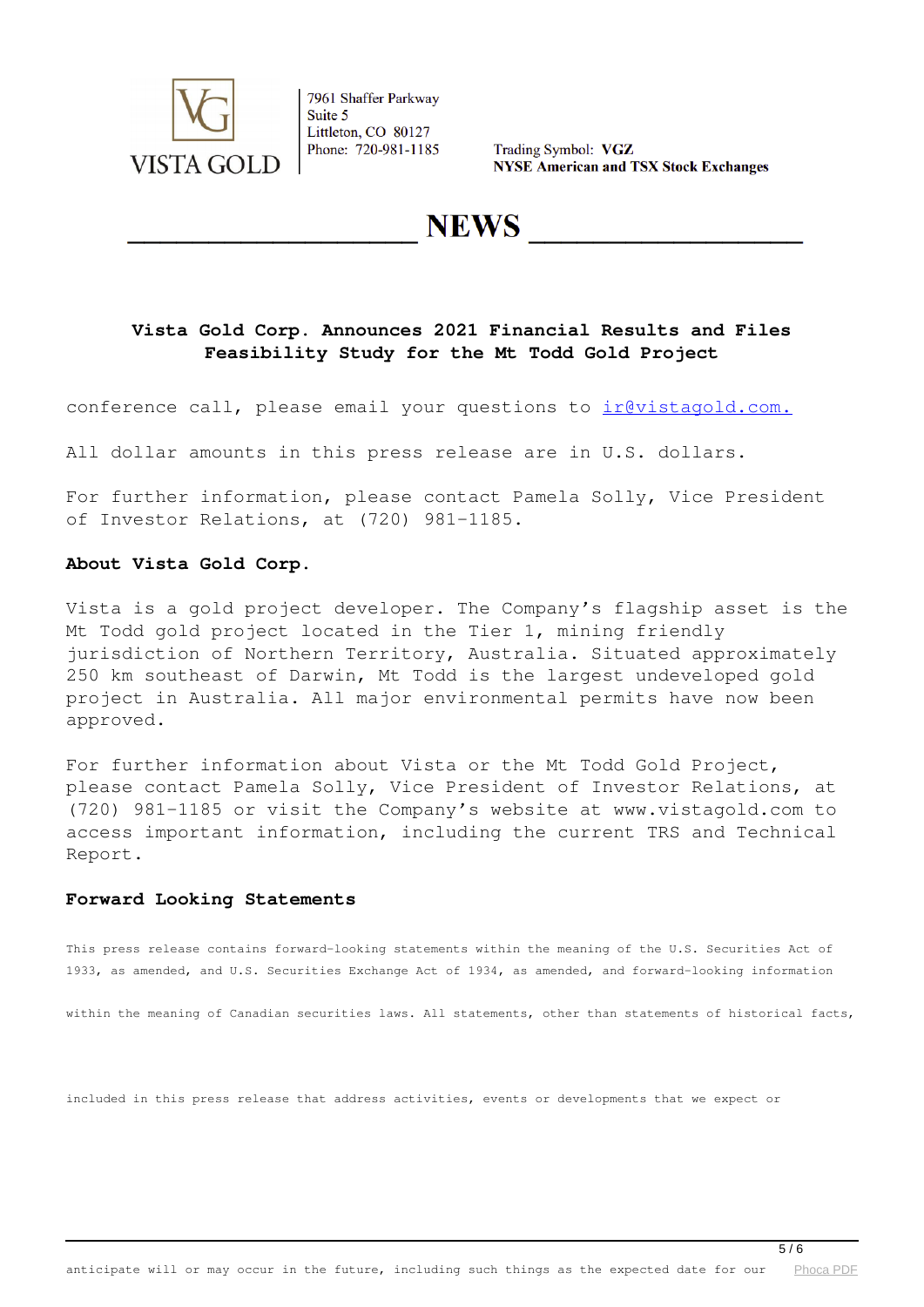

Trading Symbol: VGZ **NYSE American and TSX Stock Exchanges** 

**NEWS** 

### **Vista Gold Corp. Announces 2021 Financial Results and Files Feasibility Study for the Mt Todd Gold Project**

conference call, please email your questions to irevistagold.com.

All dollar amounts in this press release are in U.S. dollars.

For further information, please contact Pamela Solly, Vice President of Investor Relations, at (720) 981-1185.

#### **About Vista Gold Corp.**

Vista is a gold project developer. The Company's flagship asset is the Mt Todd gold project located in the Tier 1, mining friendly jurisdiction of Northern Territory, Australia. Situated approximately 250 km southeast of Darwin, Mt Todd is the largest undeveloped gold project in Australia. All major environmental permits have now been approved.

For further information about Vista or the Mt Todd Gold Project, please contact Pamela Solly, Vice President of Investor Relations, at (720) 981-1185 or visit the Company's website at www.vistagold.com to access important information, including the current TRS and Technical Report.

#### **Forward Looking Statements**

This press release contains forward-looking statements within the meaning of the U.S. Securities Act of 1933, as amended, and U.S. Securities Exchange Act of 1934, as amended, and forward-looking information

within the meaning of Canadian securities laws. All statements, other than statements of historical facts,

included in this press release that address activities, events or developments that we expect or